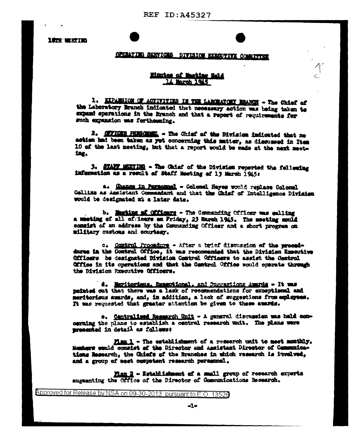**18TH MEETING** 

## GPERATING SERVICES DIVISION EXECUTIVE COMMITTEE

## Minutes of Machine Hald 14 March 1945

1. EXPANSION OF ACTIVITIES IN THE LARCHATORY ERANCH - The Chief of the Laboratory Branch indicated that necessary action was being taken to expand sperations in the Branch and that a report of requirements for such expansion was forthoughing.

2. OFFICER PERSONNEL - The Chief of the Bivision indicated that no action had been taken as yet concerning this matter, as discussed in Item 10 of the last meeting, but that a report would be made at the next meeting.

3. STAFF MEETING - The Chief of the Division reported the following information as a result of Staff Meeting of 13 March 1945:

a. Ghange in Parsannal - Colonel Hayes would replace Colonal Collins as Assistant Commandant and that the Chief of Intelligence Division would be designated at a later date.

b. Maching af Officers - The Commanding Officer was galling a musting of all of fours an Friday. 23 March 1945. The meeting mould communist of an address by the Commanding Officer and a short progress on military customs and courtesy.

c. Control Procedure - After a brief discussion of the proceddures in the Control Office, it was recommended that the Division Executive Officers be designated Division Control Officers to assist the Control Office in its operations and that the Camtrol Office would operate through the Division Exacutive Officers.

d. Maritorians. Exceptional, and Succestions Amerda - It was painted out that there was a lack of recommendations for exceptional and meritorisus awards, and, in addition, a lack of suggestions from amployees. It was requested that greater attention be given to these awards.

e. Centralized Research Unit - A general discussion was hald comcerning the plans to establish a central research unit. The plans were mresented in detail as follows:

Fian 1 - The establishment of a research unit to meet monthly. Members would consist of the Director and Assistant Director of Communications Research, the Chiefs of the Branches in which research is involved, and a group of mest competent research persennel.

Man 2 - Establishment of a small group of research experts augmenting the Office of the Director of Communications Research.